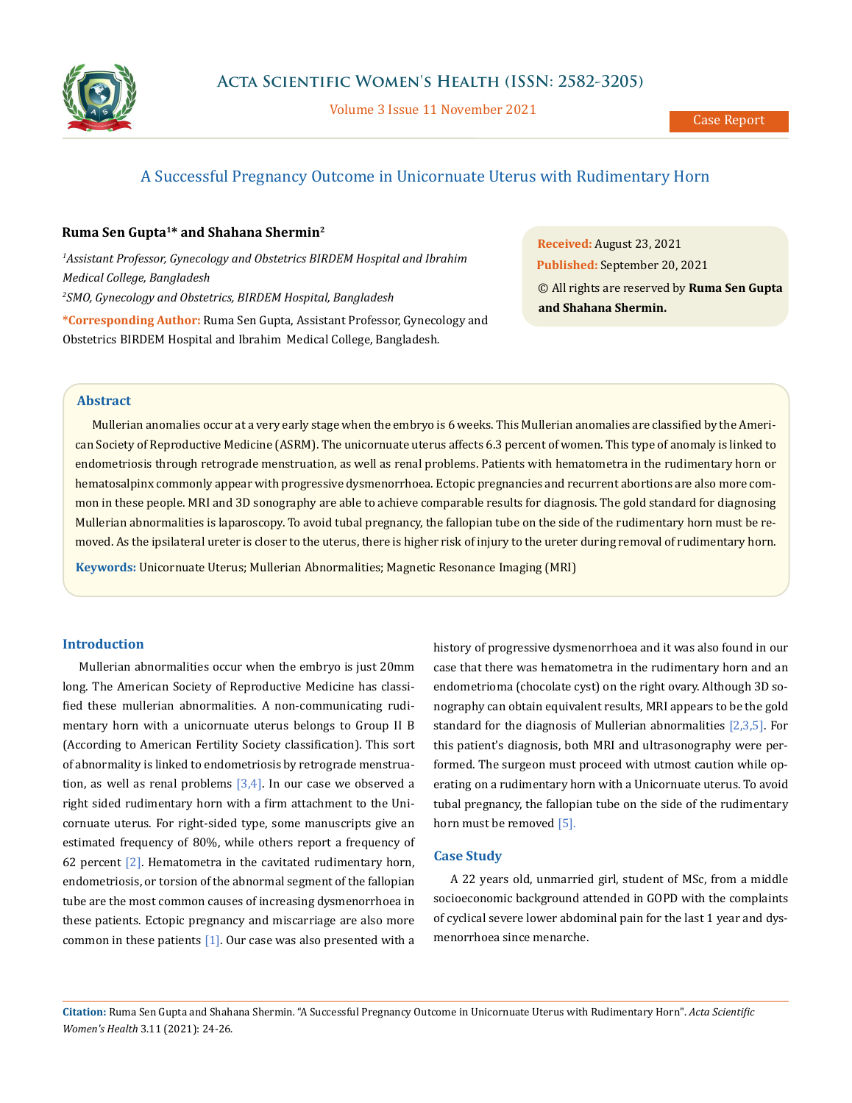

Volume 3 Issue 11 November 2021

# A Successful Pregnancy Outcome in Unicornuate Uterus with Rudimentary Horn

## **Ruma Sen Gupta1\* and Shahana Shermin2**

<sup>1</sup> Assistant Professor, Gynecology and Obstetrics BIRDEM Hospital and Ibrahim *Medical College, Bangladesh 2 SMO, Gynecology and Obstetrics, BIRDEM Hospital, Bangladesh*

**\*Corresponding Author:** Ruma Sen Gupta, Assistant Professor, Gynecology and Obstetrics BIRDEM Hospital and Ibrahim Medical College, Bangladesh*.*

**Received:** August 23, 2021 **Published:** September 20, 2021 © All rights are reserved by **Ruma Sen Gupta and Shahana Shermin.**

## **Abstract**

Mullerian anomalies occur at a very early stage when the embryo is 6 weeks. This Mullerian anomalies are classified by the American Society of Reproductive Medicine (ASRM). The unicornuate uterus affects 6.3 percent of women. This type of anomaly is linked to endometriosis through retrograde menstruation, as well as renal problems. Patients with hematometra in the rudimentary horn or hematosalpinx commonly appear with progressive dysmenorrhoea. Ectopic pregnancies and recurrent abortions are also more common in these people. MRI and 3D sonography are able to achieve comparable results for diagnosis. The gold standard for diagnosing Mullerian abnormalities is laparoscopy. To avoid tubal pregnancy, the fallopian tube on the side of the rudimentary horn must be removed. As the ipsilateral ureter is closer to the uterus, there is higher risk of injury to the ureter during removal of rudimentary horn.

**Keywords:** Unicornuate Uterus; Mullerian Abnormalities; Magnetic Resonance Imaging (MRI)

## **Introduction**

Mullerian abnormalities occur when the embryo is just 20mm long. The American Society of Reproductive Medicine has classified these mullerian abnormalities. A non-communicating rudimentary horn with a unicornuate uterus belongs to Group II B (According to American Fertility Society classification). This sort of abnormality is linked to endometriosis by retrograde menstruation, as well as renal problems  $[3,4]$ . In our case we observed a right sided rudimentary horn with a firm attachment to the Unicornuate uterus. For right-sided type, some manuscripts give an estimated frequency of 80%, while others report a frequency of 62 percent  $[2]$ . Hematometra in the cavitated rudimentary horn, endometriosis, or torsion of the abnormal segment of the fallopian tube are the most common causes of increasing dysmenorrhoea in these patients. Ectopic pregnancy and miscarriage are also more common in these patients  $[1]$ . Our case was also presented with a

history of progressive dysmenorrhoea and it was also found in our case that there was hematometra in the rudimentary horn and an endometrioma (chocolate cyst) on the right ovary. Although 3D sonography can obtain equivalent results, MRI appears to be the gold standard for the diagnosis of Mullerian abnormalities  $[2,3,5]$ . For this patient's diagnosis, both MRI and ultrasonography were performed. The surgeon must proceed with utmost caution while operating on a rudimentary horn with a Unicornuate uterus. To avoid tubal pregnancy, the fallopian tube on the side of the rudimentary horn must be removed [5].

#### **Case Study**

A 22 years old, unmarried girl, student of MSc, from a middle socioeconomic background attended in GOPD with the complaints of cyclical severe lower abdominal pain for the last 1 year and dysmenorrhoea since menarche.

**Citation:** Ruma Sen Gupta and Shahana Shermin*.* "A Successful Pregnancy Outcome in Unicornuate Uterus with Rudimentary Horn". *Acta Scientific Women's Health* 3.11 (2021): 24-26.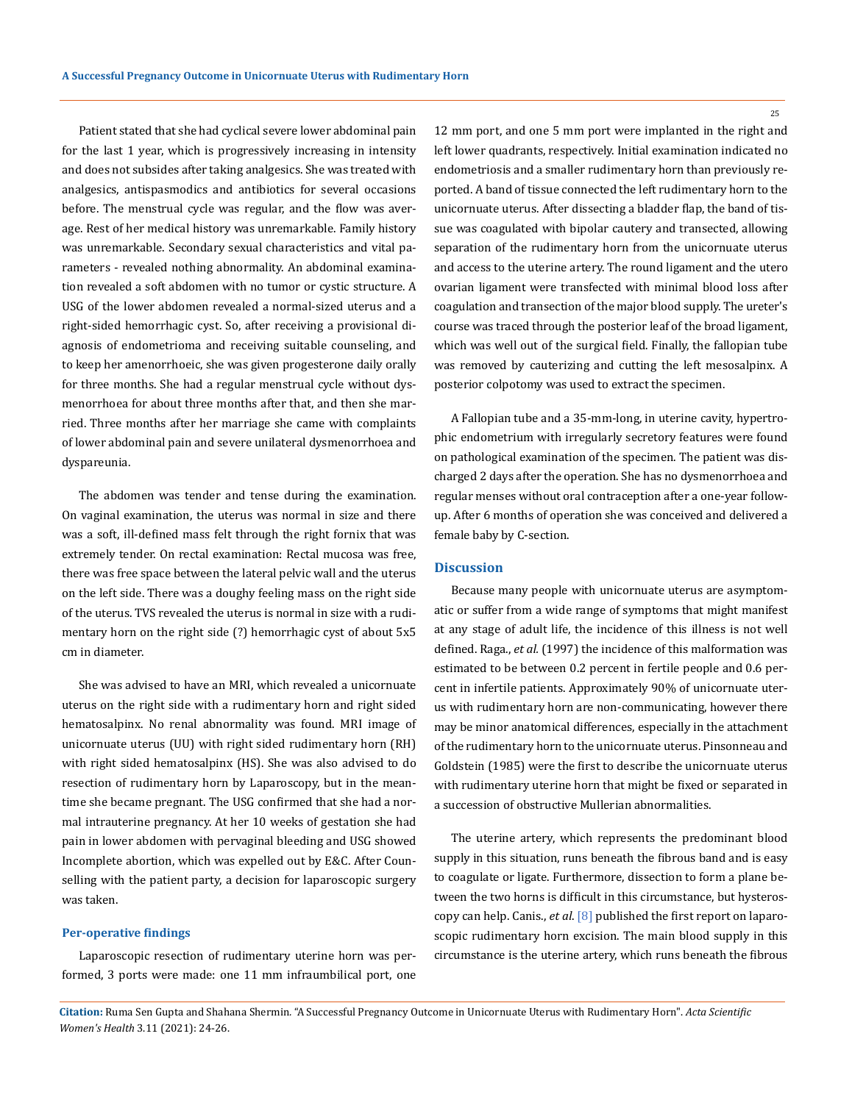Patient stated that she had cyclical severe lower abdominal pain for the last 1 year, which is progressively increasing in intensity and does not subsides after taking analgesics. She was treated with analgesics, antispasmodics and antibiotics for several occasions before. The menstrual cycle was regular, and the flow was average. Rest of her medical history was unremarkable. Family history was unremarkable. Secondary sexual characteristics and vital parameters - revealed nothing abnormality. An abdominal examination revealed a soft abdomen with no tumor or cystic structure. A USG of the lower abdomen revealed a normal-sized uterus and a right-sided hemorrhagic cyst. So, after receiving a provisional diagnosis of endometrioma and receiving suitable counseling, and to keep her amenorrhoeic, she was given progesterone daily orally for three months. She had a regular menstrual cycle without dysmenorrhoea for about three months after that, and then she married. Three months after her marriage she came with complaints of lower abdominal pain and severe unilateral dysmenorrhoea and dyspareunia.

The abdomen was tender and tense during the examination. On vaginal examination, the uterus was normal in size and there was a soft, ill-defined mass felt through the right fornix that was extremely tender. On rectal examination: Rectal mucosa was free, there was free space between the lateral pelvic wall and the uterus on the left side. There was a doughy feeling mass on the right side of the uterus. TVS revealed the uterus is normal in size with a rudimentary horn on the right side (?) hemorrhagic cyst of about 5x5 cm in diameter.

She was advised to have an MRI, which revealed a unicornuate uterus on the right side with a rudimentary horn and right sided hematosalpinx. No renal abnormality was found. MRI image of unicornuate uterus (UU) with right sided rudimentary horn (RH) with right sided hematosalpinx (HS). She was also advised to do resection of rudimentary horn by Laparoscopy, but in the meantime she became pregnant. The USG confirmed that she had a normal intrauterine pregnancy. At her 10 weeks of gestation she had pain in lower abdomen with pervaginal bleeding and USG showed Incomplete abortion, which was expelled out by E&C. After Counselling with the patient party, a decision for laparoscopic surgery was taken.

#### **Per-operative findings**

Laparoscopic resection of rudimentary uterine horn was performed, 3 ports were made: one 11 mm infraumbilical port, one 12 mm port, and one 5 mm port were implanted in the right and left lower quadrants, respectively. Initial examination indicated no endometriosis and a smaller rudimentary horn than previously reported. A band of tissue connected the left rudimentary horn to the unicornuate uterus. After dissecting a bladder flap, the band of tissue was coagulated with bipolar cautery and transected, allowing separation of the rudimentary horn from the unicornuate uterus and access to the uterine artery. The round ligament and the utero ovarian ligament were transfected with minimal blood loss after coagulation and transection of the major blood supply. The ureter's course was traced through the posterior leaf of the broad ligament, which was well out of the surgical field. Finally, the fallopian tube was removed by cauterizing and cutting the left mesosalpinx. A posterior colpotomy was used to extract the specimen.

A Fallopian tube and a 35-mm-long, in uterine cavity, hypertrophic endometrium with irregularly secretory features were found on pathological examination of the specimen. The patient was discharged 2 days after the operation. She has no dysmenorrhoea and regular menses without oral contraception after a one-year followup. After 6 months of operation she was conceived and delivered a female baby by C-section.

#### **Discussion**

Because many people with unicornuate uterus are asymptomatic or suffer from a wide range of symptoms that might manifest at any stage of adult life, the incidence of this illness is not well defined. Raga., *et al.* (1997) the incidence of this malformation was estimated to be between 0.2 percent in fertile people and 0.6 percent in infertile patients. Approximately 90% of unicornuate uterus with rudimentary horn are non-communicating, however there may be minor anatomical differences, especially in the attachment of the rudimentary horn to the unicornuate uterus. Pinsonneau and Goldstein (1985) were the first to describe the unicornuate uterus with rudimentary uterine horn that might be fixed or separated in a succession of obstructive Mullerian abnormalities.

The uterine artery, which represents the predominant blood supply in this situation, runs beneath the fibrous band and is easy to coagulate or ligate. Furthermore, dissection to form a plane between the two horns is difficult in this circumstance, but hysteroscopy can help. Canis., *et al*. [8] published the first report on laparoscopic rudimentary horn excision. The main blood supply in this circumstance is the uterine artery, which runs beneath the fibrous

**Citation:** Ruma Sen Gupta and Shahana Shermin*.* "A Successful Pregnancy Outcome in Unicornuate Uterus with Rudimentary Horn". *Acta Scientific Women's Health* 3.11 (2021): 24-26.

25